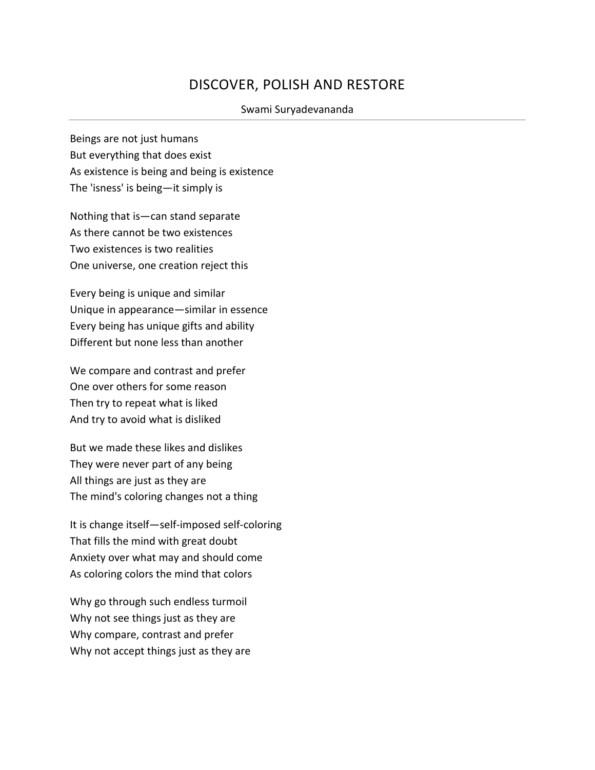## DISCOVER, POLISH AND RESTORE

## Swami Suryadevananda

Beings are not just humans But everything that does exist As existence is being and being is existence The 'isness' is being—it simply is

Nothing that is—can stand separate As there cannot be two existences Two existences is two realities One universe, one creation reject this

Every being is unique and similar Unique in appearance—similar in essence Every being has unique gifts and ability Different but none less than another

We compare and contrast and prefer One over others for some reason Then try to repeat what is liked And try to avoid what is disliked

But we made these likes and dislikes They were never part of any being All things are just as they are The mind's coloring changes not a thing

It is change itself—self-imposed self-coloring That fills the mind with great doubt Anxiety over what may and should come As coloring colors the mind that colors

Why go through such endless turmoil Why not see things just as they are Why compare, contrast and prefer Why not accept things just as they are